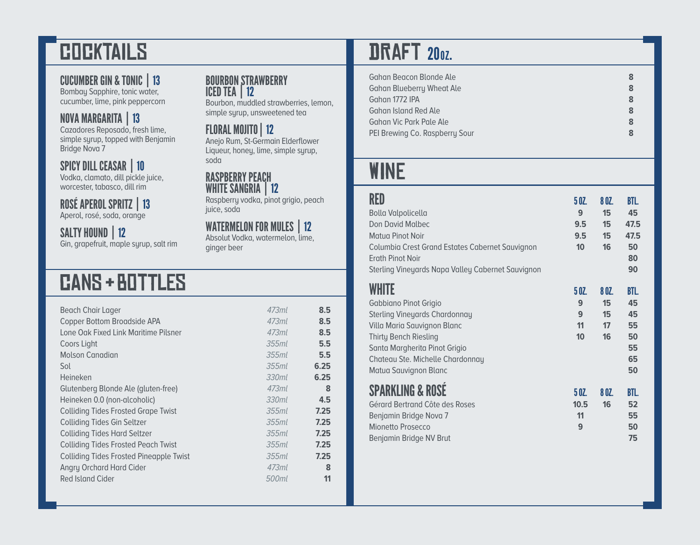# **COCKTAILS**

### CUCUMBER GIN & TONIC | 13

Bombay Sapphire, tonic water, cucumber, lime, pink peppercorn

### NOVA MARGARITA | 13

Cazadores Reposado, fresh lime, simple syrup, topped with Benjamin Bridge Nova 7

SPICY DILL CEASAR | 10

Vodka, clamato, dill pickle juice, worcester, tabasco, dill rim

ROSÉ APEROL SPRITZ | 13 Aperol, rosé, soda, orange

SALTY HOUND | 12

Gin, grapefruit, maple syrup, salt rim

#### BOURBON STRAWBERRY ICED TEA | 12

Bourbon, muddled strawberries, lemon, simple syrup, unsweetened tea

### FLORAL MOJITO | 12

Anejo Rum, St-Germain Elderflower Liqueur, honey, lime, simple syrup, soda

#### RASPBERRY PEACH WHITE SANGRIA | 12

Raspberry vodka, pinot grigio, peach juice, soda

### WATERMELON FOR MULES | 12

Absolut Vodka, watermelon, lime, ginger beer

# cAnS + bOtTlEs

| <b>Beach Chair Lager</b>                       | 47.3ml   | 8.5  |
|------------------------------------------------|----------|------|
| Copper Bottom Broadside APA                    | 47.3ml   | 8.5  |
| Lone Oak Fixed Link Maritime Pilsner           | 47.3ml   | 8.5  |
| Coors Light                                    | 355ml    | 5.5  |
| <b>Molson Canadian</b>                         | $355$ ml | 5.5  |
| Sol                                            | $355$ ml | 6.25 |
| Heineken                                       | 330ml    | 6.25 |
| Glutenberg Blonde Ale (gluten-free)            | 473ml    | 8    |
| Heineken 0.0 (non-alcoholic)                   | 330ml    | 4.5  |
| <b>Colliding Tides Frosted Grape Twist</b>     | $355$ ml | 7.25 |
| <b>Colliding Tides Gin Seltzer</b>             | $355$ ml | 7.25 |
| <b>Colliding Tides Hard Seltzer</b>            | $355$ ml | 7.25 |
| <b>Colliding Tides Frosted Peach Twist</b>     | 355ml    | 7.25 |
| <b>Colliding Tides Frosted Pineapple Twist</b> | $355$ ml | 7.25 |
| Angry Orchard Hard Cider                       | 47.3ml   | 8    |
| Red Island Cider                               | 500ml    | 11   |
|                                                |          |      |

# **DRAFT 200Z.**

| Gahan Beacon Blonde Ale          | 8 |
|----------------------------------|---|
| <b>Gahan Blueberry Wheat Ale</b> | 8 |
| Gahan 1772 IPA                   | 8 |
| Gahan Island Red Ale             | 8 |
| Gahan Vic Park Pale Ale          | 8 |
| PEI Brewing Co. Raspberry Sour   | 8 |

# wInE

| RED<br><b>Bolla Valpolicella</b><br>Don David Malbec<br><b>Matua Pinot Noir</b><br>Columbia Crest Grand Estates Cabernet Sauvignon<br><b>Erath Pinot Noir</b><br>Sterling Vineyards Napa Valley Cabernet Sauvignon                  | 50Z<br>9<br>9.5<br>9.5<br>10 | 8 OZ.<br>15<br>15<br>15<br>16 | BTL.<br>45<br>47.5<br>47.5<br>50<br>80<br>90   |
|-------------------------------------------------------------------------------------------------------------------------------------------------------------------------------------------------------------------------------------|------------------------------|-------------------------------|------------------------------------------------|
| WHITE<br>Gabbiano Pinot Grigio<br><b>Sterling Vineyards Chardonnay</b><br>Villa Maria Sauvignon Blanc<br><b>Thirty Bench Riesling</b><br>Santa Margherita Pinot Grigio<br>Chateau Ste. Michelle Chardonnay<br>Matua Sauvignon Blanc | 5 OZ.<br>9<br>9<br>11<br>10  | 8 OZ.<br>15<br>15<br>17<br>16 | BTL.<br>45<br>45<br>55<br>50<br>55<br>65<br>50 |
| <b>SPARKLING &amp; ROSE</b><br>Gérard Bertrand Côte des Roses<br>Benjamin Bridge Nova 7<br>Mionetto Prosecco<br>Benjamin Bridge NV Brut                                                                                             | 50Z<br>10.5<br>11<br>9       | 8 OZ.<br>16                   | BTL.<br>52<br>55<br>50<br>75                   |